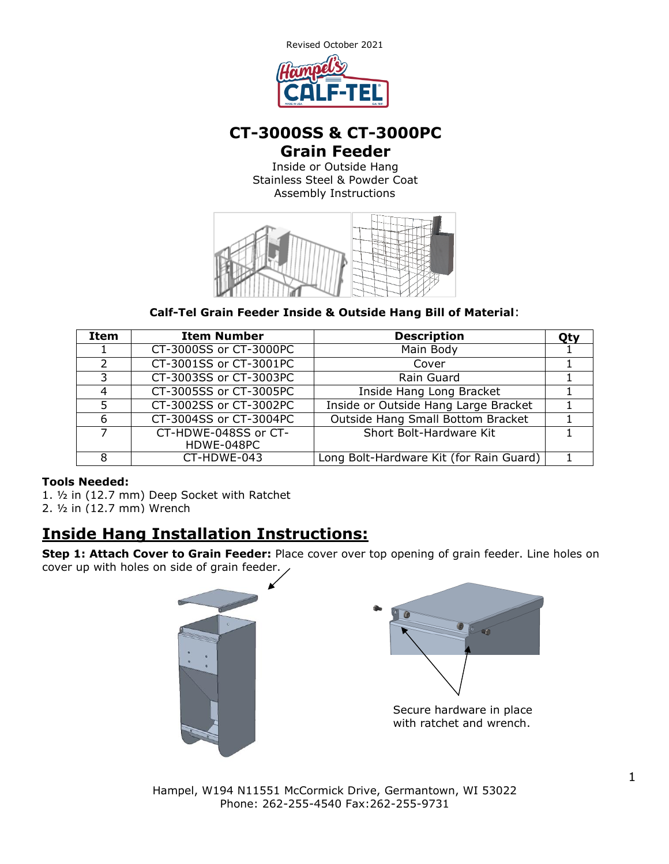

## **CT-3000SS & CT-3000PC Grain Feeder**

Inside or Outside Hang Stainless Steel & Powder Coat Assembly Instructions



**Calf-Tel Grain Feeder Inside & Outside Hang Bill of Material**:

| Item | <b>Item Number</b>     | <b>Description</b>                      | Otv |
|------|------------------------|-----------------------------------------|-----|
|      | CT-3000SS or CT-3000PC | Main Body                               |     |
|      | CT-3001SS or CT-3001PC | Cover                                   |     |
| 3    | CT-3003SS or CT-3003PC | Rain Guard                              |     |
| 4    | CT-3005SS or CT-3005PC | Inside Hang Long Bracket                |     |
|      | CT-3002SS or CT-3002PC | Inside or Outside Hang Large Bracket    |     |
| 6    | CT-3004SS or CT-3004PC | Outside Hang Small Bottom Bracket       |     |
|      | CT-HDWE-048SS or CT-   | Short Bolt-Hardware Kit                 |     |
|      | HDWE-048PC             |                                         |     |
|      | CT-HDWE-043            | Long Bolt-Hardware Kit (for Rain Guard) |     |

## **Tools Needed:**

1. ½ in (12.7 mm) Deep Socket with Ratchet 2. ½ in (12.7 mm) Wrench

# **Inside Hang Installation Instructions:**

**Step 1: Attach Cover to Grain Feeder:** Place cover over top opening of grain feeder. Line holes on cover up with holes on side of grain feeder.





Secure hardware in place with ratchet and wrench.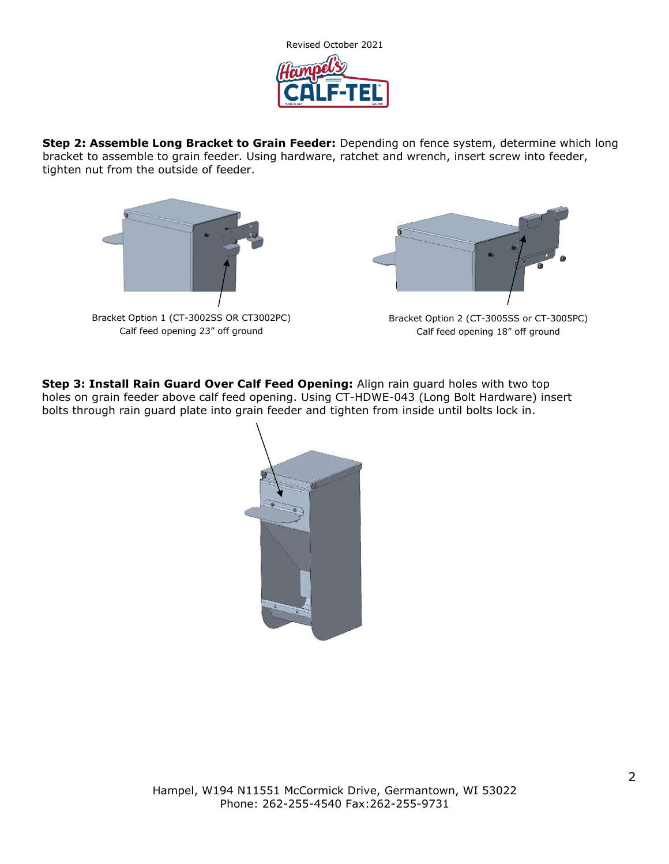

**Step 2: Assemble Long Bracket to Grain Feeder:** Depending on fence system, determine which long bracket to assemble to grain feeder. Using hardware, ratchet and wrench, insert screw into feeder, tighten nut from the outside of feeder.





Bracket Option 2 (CT-3005SS or CT-3005PC) Calf feed opening 18" off ground

**Step 3: Install Rain Guard Over Calf Feed Opening:** Align rain guard holes with two top holes on grain feeder above calf feed opening. Using CT-HDWE-043 (Long Bolt Hardware) insert bolts through rain guard plate into grain feeder and tighten from inside until bolts lock in.